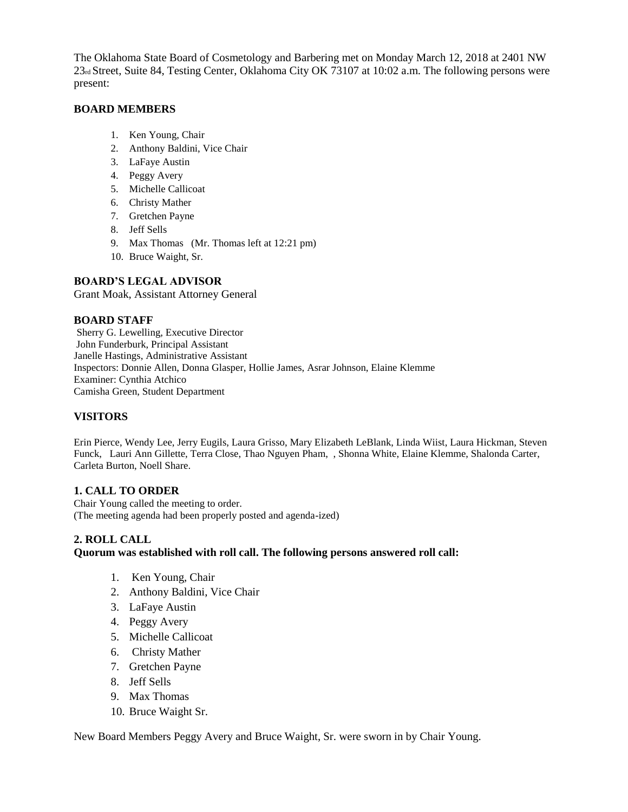The Oklahoma State Board of Cosmetology and Barbering met on Monday March 12, 2018 at 2401 NW 23rd Street, Suite 84, Testing Center, Oklahoma City OK 73107 at 10:02 a.m. The following persons were present:

#### **BOARD MEMBERS**

- 1. Ken Young, Chair
- 2. Anthony Baldini, Vice Chair
- 3. LaFaye Austin
- 4. Peggy Avery
- 5. Michelle Callicoat
- 6. Christy Mather
- 7. Gretchen Payne
- 8. Jeff Sells
- 9. Max Thomas (Mr. Thomas left at 12:21 pm)
- 10. Bruce Waight, Sr.

#### **BOARD'S LEGAL ADVISOR**

Grant Moak, Assistant Attorney General

#### **BOARD STAFF**

Sherry G. Lewelling, Executive Director John Funderburk, Principal Assistant Janelle Hastings, Administrative Assistant Inspectors: Donnie Allen, Donna Glasper, Hollie James, Asrar Johnson, Elaine Klemme Examiner: Cynthia Atchico Camisha Green, Student Department

### **VISITORS**

Erin Pierce, Wendy Lee, Jerry Eugils, Laura Grisso, Mary Elizabeth LeBlank, Linda Wiist, Laura Hickman, Steven Funck, Lauri Ann Gillette, Terra Close, Thao Nguyen Pham, , Shonna White, Elaine Klemme, Shalonda Carter, Carleta Burton, Noell Share.

#### **1. CALL TO ORDER**

Chair Young called the meeting to order. (The meeting agenda had been properly posted and agenda-ized)

#### **2. ROLL CALL**

#### **Quorum was established with roll call. The following persons answered roll call:**

- 1. Ken Young, Chair
- 2. Anthony Baldini, Vice Chair
- 3. LaFaye Austin
- 4. Peggy Avery
- 5. Michelle Callicoat
- 6. Christy Mather
- 7. Gretchen Payne
- 8. Jeff Sells
- 9. Max Thomas
- 10. Bruce Waight Sr.

New Board Members Peggy Avery and Bruce Waight, Sr. were sworn in by Chair Young.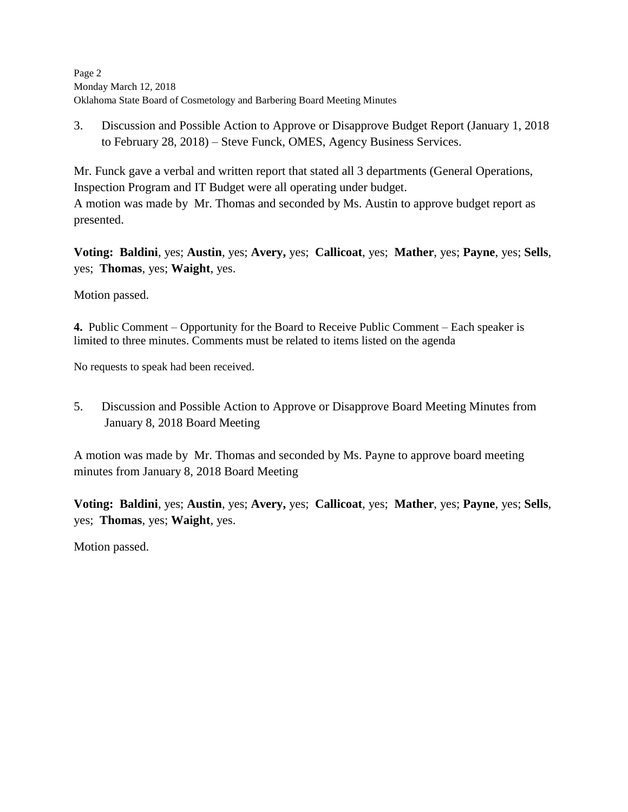Page 2 Monday March 12, 2018 Oklahoma State Board of Cosmetology and Barbering Board Meeting Minutes

3. Discussion and Possible Action to Approve or Disapprove Budget Report (January 1, 2018 to February 28, 2018) – Steve Funck, OMES, Agency Business Services.

Mr. Funck gave a verbal and written report that stated all 3 departments (General Operations, Inspection Program and IT Budget were all operating under budget. A motion was made by Mr. Thomas and seconded by Ms. Austin to approve budget report as presented.

**Voting: Baldini**, yes; **Austin**, yes; **Avery,** yes; **Callicoat**, yes; **Mather**, yes; **Payne**, yes; **Sells**, yes; **Thomas**, yes; **Waight**, yes.

Motion passed.

**4.** Public Comment – Opportunity for the Board to Receive Public Comment – Each speaker is limited to three minutes. Comments must be related to items listed on the agenda

No requests to speak had been received.

5. Discussion and Possible Action to Approve or Disapprove Board Meeting Minutes from January 8, 2018 Board Meeting

A motion was made by Mr. Thomas and seconded by Ms. Payne to approve board meeting minutes from January 8, 2018 Board Meeting

**Voting: Baldini**, yes; **Austin**, yes; **Avery,** yes; **Callicoat**, yes; **Mather**, yes; **Payne**, yes; **Sells**, yes; **Thomas**, yes; **Waight**, yes.

Motion passed.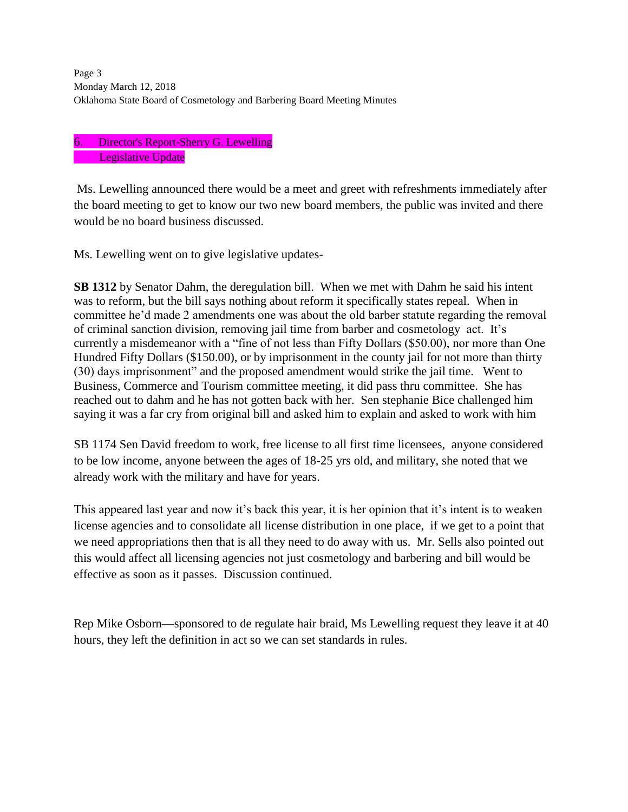Page 3 and 2012 and 2012 and 2012 and 2012 and 2012 and 2012 and 2012 and 2012 and 2012 and 2012 and 2012 and 2012 and 2012 and 2012 and 2012 and 2012 and 2012 and 2012 and 2012 and 2012 and 2012 and 2012 and 2012 and 2012 Monday March 12, 2018 Oklahoma State Board of Cosmetology and Barbering Board Meeting Minutes

## 6. Director's Report-Sherry G. Lewelling Legislative Update

Ms. Lewelling announced there would be a meet and greet with refreshments immediately after the board meeting to get to know our two new board members, the public was invited and there would be no board business discussed.

Ms. Lewelling went on to give legislative updates-

**SB 1312** by Senator Dahm, the deregulation bill. When we met with Dahm he said his intent was to reform, but the bill says nothing about reform it specifically states repeal. When in committee he'd made 2 amendments one was about the old barber statute regarding the removal of criminal sanction division, removing jail time from barber and cosmetology act. It's currently a misdemeanor with a "fine of not less than Fifty Dollars (\$50.00), nor more than One Hundred Fifty Dollars (\$150.00), or by imprisonment in the county jail for not more than thirty (30) days imprisonment" and the proposed amendment would strike the jail time. Went to Business, Commerce and Tourism committee meeting, it did pass thru committee. She has reached out to dahm and he has not gotten back with her. Sen stephanie Bice challenged him saying it was a far cry from original bill and asked him to explain and asked to work with him

SB 1174 Sen David freedom to work, free license to all first time licensees, anyone considered to be low income, anyone between the ages of 18-25 yrs old, and military, she noted that we already work with the military and have for years.

This appeared last year and now it's back this year, it is her opinion that it's intent is to weaken license agencies and to consolidate all license distribution in one place, if we get to a point that we need appropriations then that is all they need to do away with us. Mr. Sells also pointed out this would affect all licensing agencies not just cosmetology and barbering and bill would be effective as soon as it passes. Discussion continued.

Rep Mike Osborn—sponsored to de regulate hair braid, Ms Lewelling request they leave it at 40 hours, they left the definition in act so we can set standards in rules.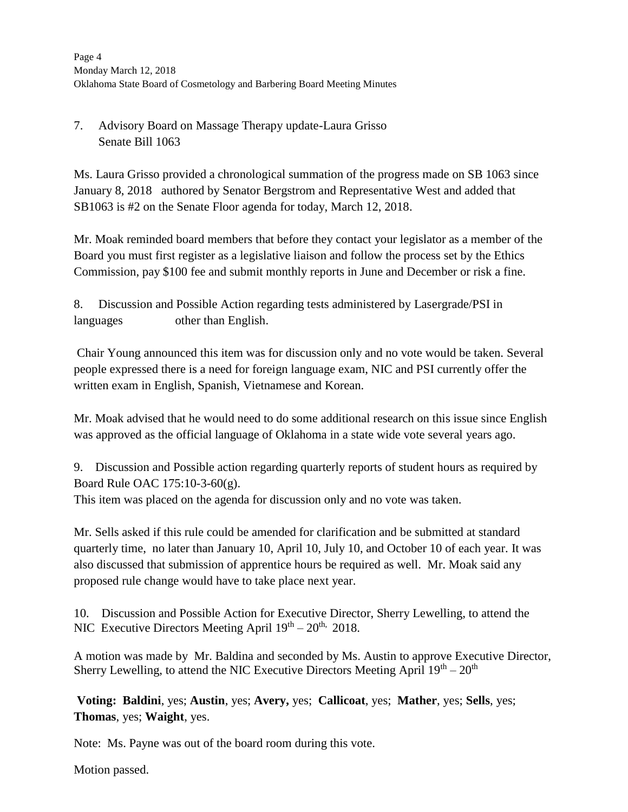# 7. Advisory Board on Massage Therapy update-Laura Grisso Senate Bill 1063

Ms. Laura Grisso provided a chronological summation of the progress made on SB 1063 since January 8, 2018 authored by Senator Bergstrom and Representative West and added that SB1063 is #2 on the Senate Floor agenda for today, March 12, 2018.

Mr. Moak reminded board members that before they contact your legislator as a member of the Board you must first register as a legislative liaison and follow the process set by the Ethics Commission, pay \$100 fee and submit monthly reports in June and December or risk a fine.

8. Discussion and Possible Action regarding tests administered by Lasergrade/PSI in languages other than English.

Chair Young announced this item was for discussion only and no vote would be taken. Several people expressed there is a need for foreign language exam, NIC and PSI currently offer the written exam in English, Spanish, Vietnamese and Korean.

Mr. Moak advised that he would need to do some additional research on this issue since English was approved as the official language of Oklahoma in a state wide vote several years ago.

9. Discussion and Possible action regarding quarterly reports of student hours as required by Board Rule OAC 175:10-3-60(g).

This item was placed on the agenda for discussion only and no vote was taken.

Mr. Sells asked if this rule could be amended for clarification and be submitted at standard quarterly time, no later than January 10, April 10, July 10, and October 10 of each year. It was also discussed that submission of apprentice hours be required as well. Mr. Moak said any proposed rule change would have to take place next year.

10. Discussion and Possible Action for Executive Director, Sherry Lewelling, to attend the NIC Executive Directors Meeting April  $19<sup>th</sup> - 20<sup>th</sup>$ , 2018.

A motion was made by Mr. Baldina and seconded by Ms. Austin to approve Executive Director, Sherry Lewelling, to attend the NIC Executive Directors Meeting April  $19^{th} - 20^{th}$ 

**Voting: Baldini**, yes; **Austin**, yes; **Avery,** yes; **Callicoat**, yes; **Mather**, yes; **Sells**, yes; **Thomas**, yes; **Waight**, yes.

Note: Ms. Payne was out of the board room during this vote.

Motion passed.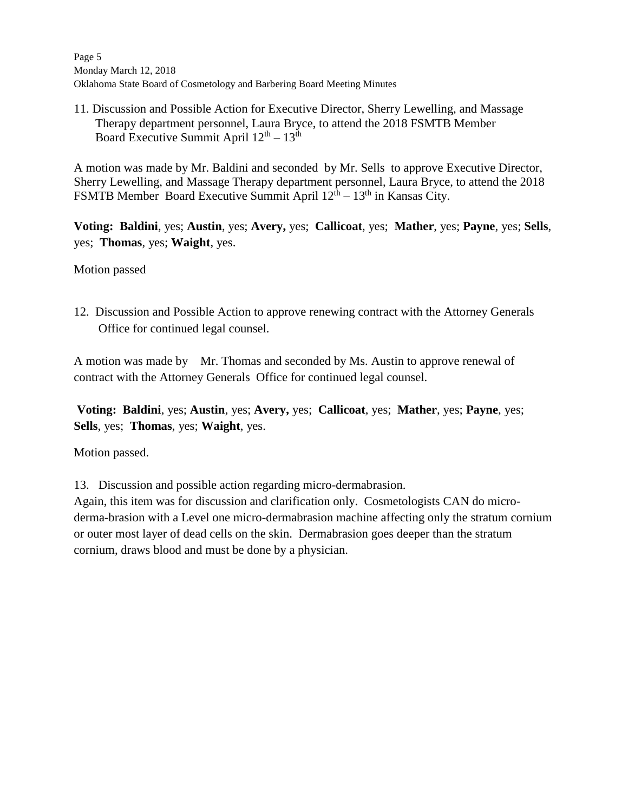Page 5 Monday March 12, 2018 Oklahoma State Board of Cosmetology and Barbering Board Meeting Minutes

11. Discussion and Possible Action for Executive Director, Sherry Lewelling, and Massage Therapy department personnel, Laura Bryce, to attend the 2018 FSMTB Member Board Executive Summit April  $12<sup>th</sup> - 13<sup>th</sup>$ 

A motion was made by Mr. Baldini and seconded by Mr. Sells to approve Executive Director, Sherry Lewelling, and Massage Therapy department personnel, Laura Bryce, to attend the 2018 FSMTB Member Board Executive Summit April  $12<sup>th</sup> - 13<sup>th</sup>$  in Kansas City.

**Voting: Baldini**, yes; **Austin**, yes; **Avery,** yes; **Callicoat**, yes; **Mather**, yes; **Payne**, yes; **Sells**, yes; **Thomas**, yes; **Waight**, yes.

Motion passed

12. Discussion and Possible Action to approve renewing contract with the Attorney Generals Office for continued legal counsel.

A motion was made by Mr. Thomas and seconded by Ms. Austin to approve renewal of contract with the Attorney Generals Office for continued legal counsel.

**Voting: Baldini**, yes; **Austin**, yes; **Avery,** yes; **Callicoat**, yes; **Mather**, yes; **Payne**, yes; **Sells**, yes; **Thomas**, yes; **Waight**, yes.

Motion passed.

13. Discussion and possible action regarding micro-dermabrasion.

Again, this item was for discussion and clarification only. Cosmetologists CAN do microderma-brasion with a Level one micro-dermabrasion machine affecting only the stratum cornium or outer most layer of dead cells on the skin. Dermabrasion goes deeper than the stratum cornium, draws blood and must be done by a physician.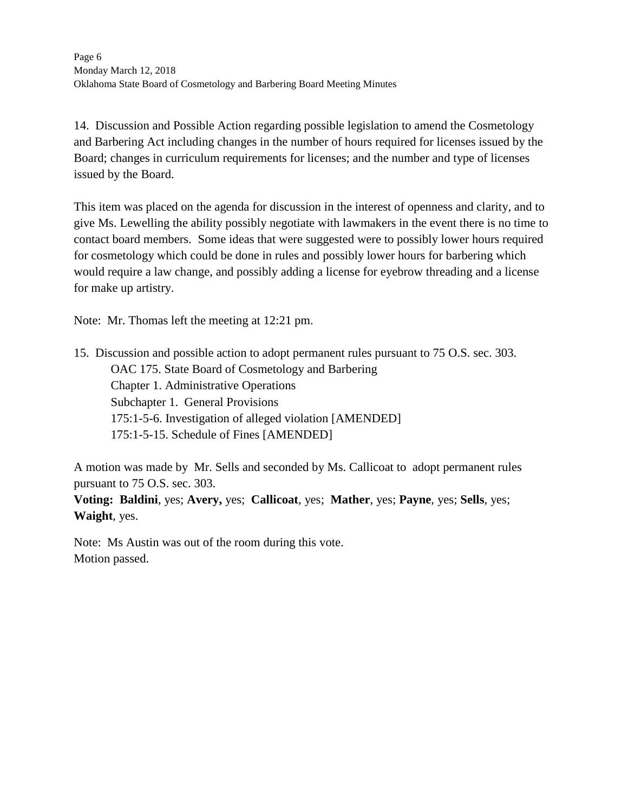14. Discussion and Possible Action regarding possible legislation to amend the Cosmetology and Barbering Act including changes in the number of hours required for licenses issued by the Board; changes in curriculum requirements for licenses; and the number and type of licenses issued by the Board.

This item was placed on the agenda for discussion in the interest of openness and clarity, and to give Ms. Lewelling the ability possibly negotiate with lawmakers in the event there is no time to contact board members. Some ideas that were suggested were to possibly lower hours required for cosmetology which could be done in rules and possibly lower hours for barbering which would require a law change, and possibly adding a license for eyebrow threading and a license for make up artistry.

Note: Mr. Thomas left the meeting at 12:21 pm.

15. Discussion and possible action to adopt permanent rules pursuant to 75 O.S. sec. 303. OAC 175. State Board of Cosmetology and Barbering Chapter 1. Administrative Operations Subchapter 1. General Provisions 175:1-5-6. Investigation of alleged violation [AMENDED] 175:1-5-15. Schedule of Fines [AMENDED]

A motion was made by Mr. Sells and seconded by Ms. Callicoat to adopt permanent rules pursuant to 75 O.S. sec. 303.

**Voting: Baldini**, yes; **Avery,** yes; **Callicoat**, yes; **Mather**, yes; **Payne**, yes; **Sells**, yes; **Waight**, yes.

Note: Ms Austin was out of the room during this vote. Motion passed.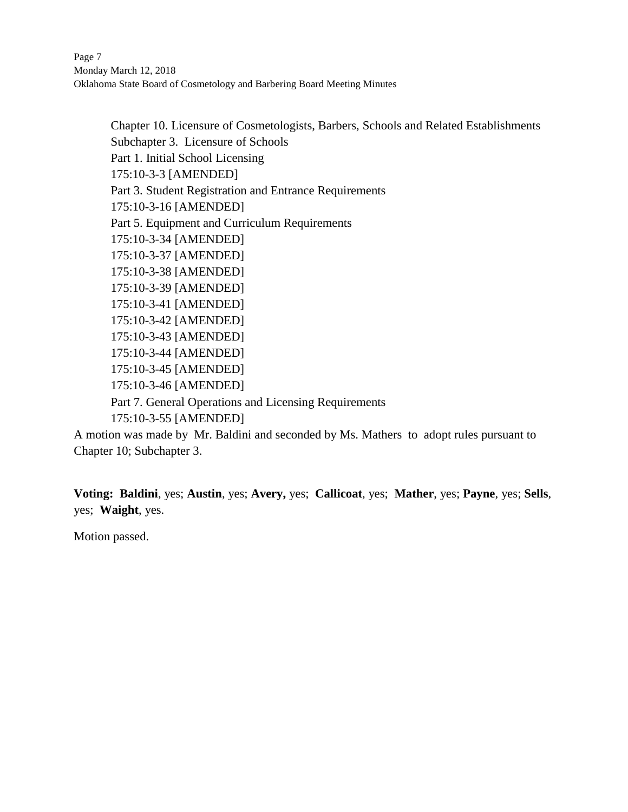Page 7 and 2008 and 2008 and 2008 and 2008 and 2008 and 2008 and 2008 and 2008 and 2008 and 2008 and 2008 and 2008 and 2008 and 2008 and 2008 and 2008 and 2008 and 2008 and 2008 and 2008 and 2008 and 2008 and 2008 and 2008 Monday March 12, 2018 Oklahoma State Board of Cosmetology and Barbering Board Meeting Minutes

Chapter 10. Licensure of Cosmetologists, Barbers, Schools and Related Establishments Subchapter 3. Licensure of Schools Part 1. Initial School Licensing 175:10-3-3 [AMENDED] Part 3. Student Registration and Entrance Requirements 175:10-3-16 [AMENDED] Part 5. Equipment and Curriculum Requirements 175:10-3-34 [AMENDED] 175:10-3-37 [AMENDED] 175:10-3-38 [AMENDED] 175:10-3-39 [AMENDED] 175:10-3-41 [AMENDED] 175:10-3-42 [AMENDED] 175:10-3-43 [AMENDED] 175:10-3-44 [AMENDED] 175:10-3-45 [AMENDED] 175:10-3-46 [AMENDED] Part 7. General Operations and Licensing Requirements 175:10-3-55 [AMENDED]

A motion was made by Mr. Baldini and seconded by Ms. Mathers to adopt rules pursuant to Chapter 10; Subchapter 3.

**Voting: Baldini**, yes; **Austin**, yes; **Avery,** yes; **Callicoat**, yes; **Mather**, yes; **Payne**, yes; **Sells**, yes; **Waight**, yes.

Motion passed.